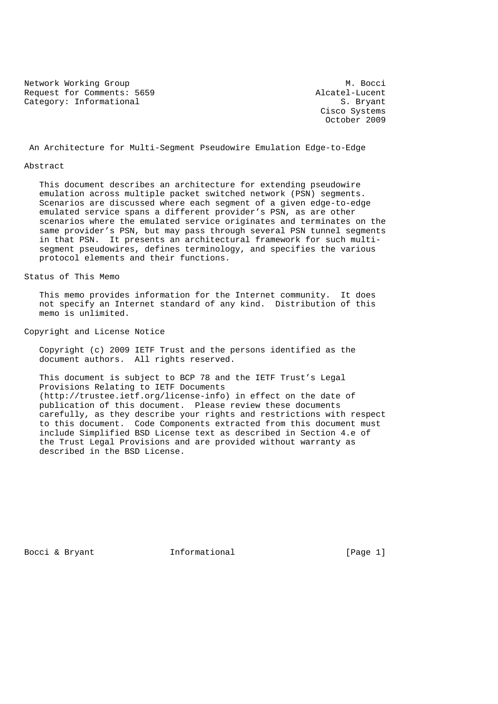Network Working Group Methods and M. Bocci Request for Comments: 5659 <br>Category: Informational S. Bryant Category: Informational

 Cisco Systems October 2009

An Architecture for Multi-Segment Pseudowire Emulation Edge-to-Edge

#### Abstract

 This document describes an architecture for extending pseudowire emulation across multiple packet switched network (PSN) segments. Scenarios are discussed where each segment of a given edge-to-edge emulated service spans a different provider's PSN, as are other scenarios where the emulated service originates and terminates on the same provider's PSN, but may pass through several PSN tunnel segments in that PSN. It presents an architectural framework for such multi segment pseudowires, defines terminology, and specifies the various protocol elements and their functions.

#### Status of This Memo

 This memo provides information for the Internet community. It does not specify an Internet standard of any kind. Distribution of this memo is unlimited.

## Copyright and License Notice

 Copyright (c) 2009 IETF Trust and the persons identified as the document authors. All rights reserved.

 This document is subject to BCP 78 and the IETF Trust's Legal Provisions Relating to IETF Documents (http://trustee.ietf.org/license-info) in effect on the date of publication of this document. Please review these documents carefully, as they describe your rights and restrictions with respect to this document. Code Components extracted from this document must include Simplified BSD License text as described in Section 4.e of the Trust Legal Provisions and are provided without warranty as described in the BSD License.

Bocci & Bryant **Informational** [Page 1]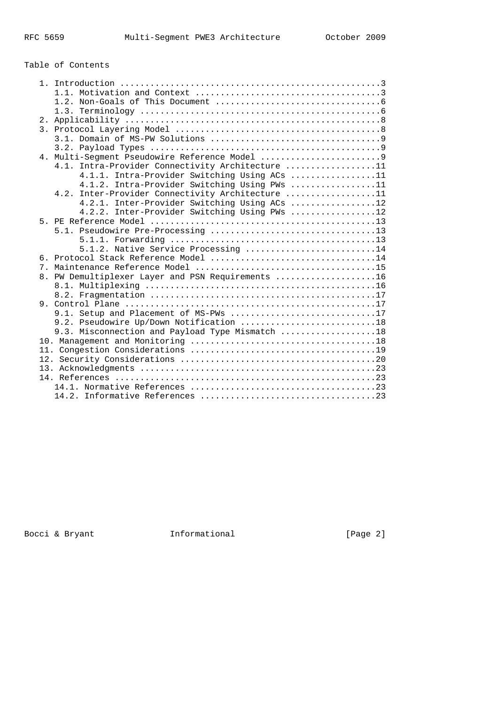# Table of Contents

| 4.1. Intra-Provider Connectivity Architecture 11  |
|---------------------------------------------------|
| 4.1.1. Intra-Provider Switching Using ACs 11      |
| 4.1.2. Intra-Provider Switching Using PWs 11      |
| 4.2. Inter-Provider Connectivity Architecture 11  |
| 4.2.1. Inter-Provider Switching Using ACs 12      |
| 4.2.2. Inter-Provider Switching Using PWs 12      |
|                                                   |
|                                                   |
|                                                   |
| 5.1.2. Native Service Processing 14               |
| 6. Protocol Stack Reference Model 14              |
|                                                   |
| 8. PW Demultiplexer Layer and PSN Requirements 16 |
|                                                   |
|                                                   |
|                                                   |
| 9.1. Setup and Placement of MS-PWs 17             |
| 9.2. Pseudowire Up/Down Notification 18           |
| 9.3. Misconnection and Payload Type Mismatch 18   |
|                                                   |
|                                                   |
|                                                   |
|                                                   |
|                                                   |
|                                                   |
|                                                   |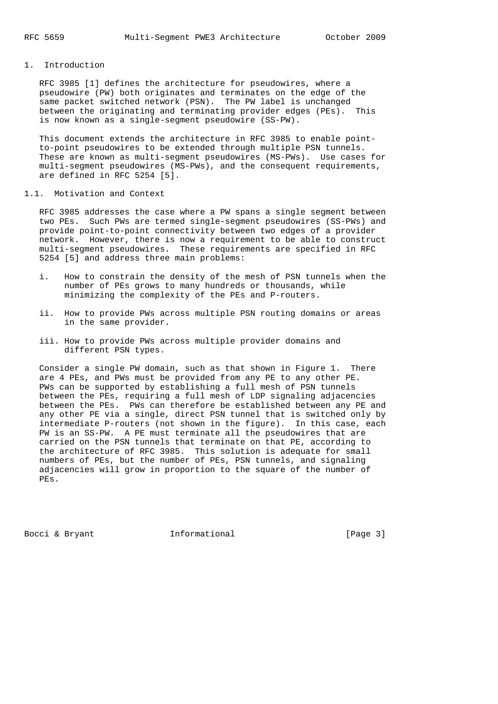## 1. Introduction

 RFC 3985 [1] defines the architecture for pseudowires, where a pseudowire (PW) both originates and terminates on the edge of the same packet switched network (PSN). The PW label is unchanged between the originating and terminating provider edges (PEs). This is now known as a single-segment pseudowire (SS-PW).

 This document extends the architecture in RFC 3985 to enable point to-point pseudowires to be extended through multiple PSN tunnels. These are known as multi-segment pseudowires (MS-PWs). Use cases for multi-segment pseudowires (MS-PWs), and the consequent requirements, are defined in RFC 5254 [5].

### 1.1. Motivation and Context

 RFC 3985 addresses the case where a PW spans a single segment between two PEs. Such PWs are termed single-segment pseudowires (SS-PWs) and provide point-to-point connectivity between two edges of a provider network. However, there is now a requirement to be able to construct multi-segment pseudowires. These requirements are specified in RFC 5254 [5] and address three main problems:

- i. How to constrain the density of the mesh of PSN tunnels when the number of PEs grows to many hundreds or thousands, while minimizing the complexity of the PEs and P-routers.
- ii. How to provide PWs across multiple PSN routing domains or areas in the same provider.
- iii. How to provide PWs across multiple provider domains and different PSN types.

 Consider a single PW domain, such as that shown in Figure 1. There are 4 PEs, and PWs must be provided from any PE to any other PE. PWs can be supported by establishing a full mesh of PSN tunnels between the PEs, requiring a full mesh of LDP signaling adjacencies between the PEs. PWs can therefore be established between any PE and any other PE via a single, direct PSN tunnel that is switched only by intermediate P-routers (not shown in the figure). In this case, each PW is an SS-PW. A PE must terminate all the pseudowires that are carried on the PSN tunnels that terminate on that PE, according to the architecture of RFC 3985. This solution is adequate for small numbers of PEs, but the number of PEs, PSN tunnels, and signaling adjacencies will grow in proportion to the square of the number of PEs.

Bocci & Bryant 1nformational [Page 3]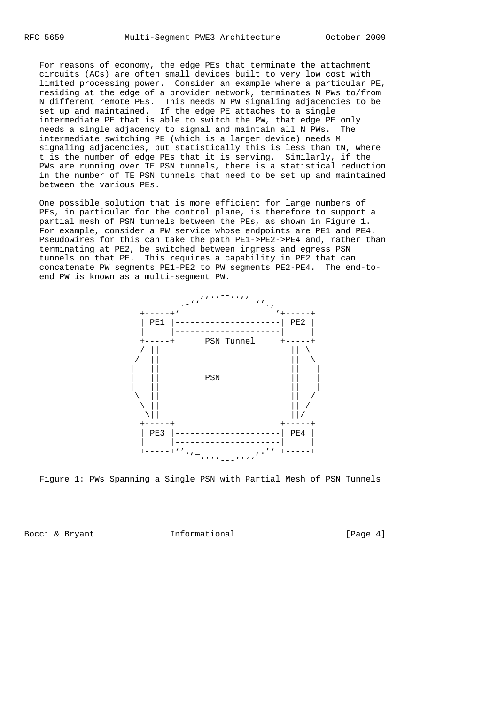For reasons of economy, the edge PEs that terminate the attachment circuits (ACs) are often small devices built to very low cost with limited processing power. Consider an example where a particular PE, residing at the edge of a provider network, terminates N PWs to/from N different remote PEs. This needs N PW signaling adjacencies to be set up and maintained. If the edge PE attaches to a single intermediate PE that is able to switch the PW, that edge PE only needs a single adjacency to signal and maintain all N PWs. The intermediate switching PE (which is a larger device) needs M signaling adjacencies, but statistically this is less than tN, where t is the number of edge PEs that it is serving. Similarly, if the PWs are running over TE PSN tunnels, there is a statistical reduction in the number of TE PSN tunnels that need to be set up and maintained between the various PEs.

 One possible solution that is more efficient for large numbers of PEs, in particular for the control plane, is therefore to support a partial mesh of PSN tunnels between the PEs, as shown in Figure 1. For example, consider a PW service whose endpoints are PE1 and PE4. Pseudowires for this can take the path PE1->PE2->PE4 and, rather than terminating at PE2, be switched between ingress and egress PSN tunnels on that PE. This requires a capability in PE2 that can concatenate PW segments PE1-PE2 to PW segments PE2-PE4. The end-to end PW is known as a multi-segment PW.



Figure 1: PWs Spanning a Single PSN with Partial Mesh of PSN Tunnels

Bocci & Bryant **Informational** [Page 4]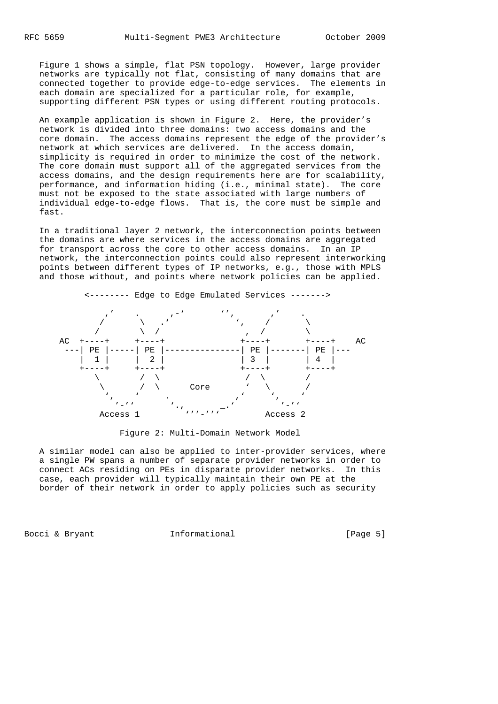Figure 1 shows a simple, flat PSN topology. However, large provider networks are typically not flat, consisting of many domains that are connected together to provide edge-to-edge services. The elements in each domain are specialized for a particular role, for example, supporting different PSN types or using different routing protocols.

 An example application is shown in Figure 2. Here, the provider's network is divided into three domains: two access domains and the core domain. The access domains represent the edge of the provider's network at which services are delivered. In the access domain, simplicity is required in order to minimize the cost of the network. The core domain must support all of the aggregated services from the access domains, and the design requirements here are for scalability, performance, and information hiding (i.e., minimal state). The core must not be exposed to the state associated with large numbers of individual edge-to-edge flows. That is, the core must be simple and fast.

 In a traditional layer 2 network, the interconnection points between the domains are where services in the access domains are aggregated for transport across the core to other access domains. In an IP network, the interconnection points could also represent interworking points between different types of IP networks, e.g., those with MPLS and those without, and points where network policies can be applied.



Figure 2: Multi-Domain Network Model

 A similar model can also be applied to inter-provider services, where a single PW spans a number of separate provider networks in order to connect ACs residing on PEs in disparate provider networks. In this case, each provider will typically maintain their own PE at the border of their network in order to apply policies such as security

Bocci & Bryant **Informational** [Page 5]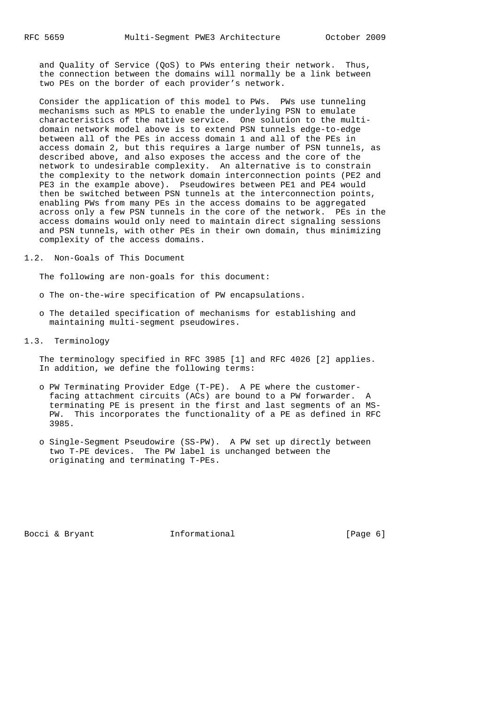and Quality of Service (QoS) to PWs entering their network. Thus, the connection between the domains will normally be a link between two PEs on the border of each provider's network.

 Consider the application of this model to PWs. PWs use tunneling mechanisms such as MPLS to enable the underlying PSN to emulate characteristics of the native service. One solution to the multi domain network model above is to extend PSN tunnels edge-to-edge between all of the PEs in access domain 1 and all of the PEs in access domain 2, but this requires a large number of PSN tunnels, as described above, and also exposes the access and the core of the network to undesirable complexity. An alternative is to constrain the complexity to the network domain interconnection points (PE2 and PE3 in the example above). Pseudowires between PE1 and PE4 would then be switched between PSN tunnels at the interconnection points, enabling PWs from many PEs in the access domains to be aggregated across only a few PSN tunnels in the core of the network. PEs in the access domains would only need to maintain direct signaling sessions and PSN tunnels, with other PEs in their own domain, thus minimizing complexity of the access domains.

1.2. Non-Goals of This Document

The following are non-goals for this document:

- o The on-the-wire specification of PW encapsulations.
- o The detailed specification of mechanisms for establishing and maintaining multi-segment pseudowires.
- 1.3. Terminology

 The terminology specified in RFC 3985 [1] and RFC 4026 [2] applies. In addition, we define the following terms:

- o PW Terminating Provider Edge (T-PE). A PE where the customer facing attachment circuits (ACs) are bound to a PW forwarder. A terminating PE is present in the first and last segments of an MS- PW. This incorporates the functionality of a PE as defined in RFC 3985.
- o Single-Segment Pseudowire (SS-PW). A PW set up directly between two T-PE devices. The PW label is unchanged between the originating and terminating T-PEs.

Bocci & Bryant 1nformational [Page 6]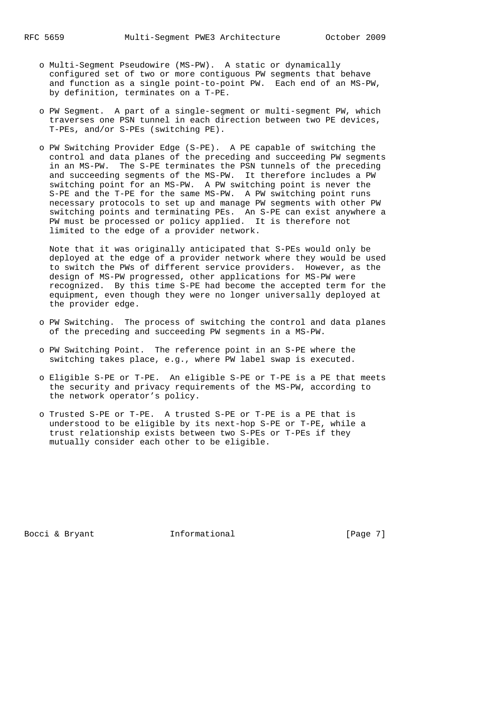- o Multi-Segment Pseudowire (MS-PW). A static or dynamically configured set of two or more contiguous PW segments that behave and function as a single point-to-point PW. Each end of an MS-PW, by definition, terminates on a T-PE.
- o PW Segment. A part of a single-segment or multi-segment PW, which traverses one PSN tunnel in each direction between two PE devices, T-PEs, and/or S-PEs (switching PE).
- o PW Switching Provider Edge (S-PE). A PE capable of switching the control and data planes of the preceding and succeeding PW segments in an MS-PW. The S-PE terminates the PSN tunnels of the preceding and succeeding segments of the MS-PW. It therefore includes a PW switching point for an MS-PW. A PW switching point is never the S-PE and the T-PE for the same MS-PW. A PW switching point runs necessary protocols to set up and manage PW segments with other PW switching points and terminating PEs. An S-PE can exist anywhere a PW must be processed or policy applied. It is therefore not limited to the edge of a provider network.

 Note that it was originally anticipated that S-PEs would only be deployed at the edge of a provider network where they would be used to switch the PWs of different service providers. However, as the design of MS-PW progressed, other applications for MS-PW were recognized. By this time S-PE had become the accepted term for the equipment, even though they were no longer universally deployed at the provider edge.

- o PW Switching. The process of switching the control and data planes of the preceding and succeeding PW segments in a MS-PW.
- o PW Switching Point. The reference point in an S-PE where the switching takes place, e.g., where PW label swap is executed.
- o Eligible S-PE or T-PE. An eligible S-PE or T-PE is a PE that meets the security and privacy requirements of the MS-PW, according to the network operator's policy.
- o Trusted S-PE or T-PE. A trusted S-PE or T-PE is a PE that is understood to be eligible by its next-hop S-PE or T-PE, while a trust relationship exists between two S-PEs or T-PEs if they mutually consider each other to be eligible.

Bocci & Bryant **Informational** [Page 7]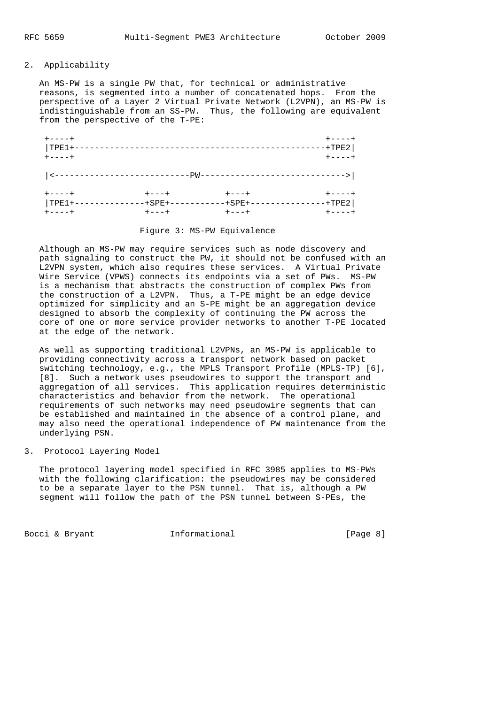## 2. Applicability

 An MS-PW is a single PW that, for technical or administrative reasons, is segmented into a number of concatenated hops. From the perspective of a Layer 2 Virtual Private Network (L2VPN), an MS-PW is indistinguishable from an SS-PW. Thus, the following are equivalent from the perspective of the T-PE:

| $+ - - - - +$         |             |                                                                                                                                                                                                                                                                                                                                                                                               | $+ - - - - +$ |
|-----------------------|-------------|-----------------------------------------------------------------------------------------------------------------------------------------------------------------------------------------------------------------------------------------------------------------------------------------------------------------------------------------------------------------------------------------------|---------------|
| $ TPE1+-$             |             | . _ _ _ _ _ _ _ _ _ _ _ _                                                                                                                                                                                                                                                                                                                                                                     | $-+TPE2$      |
| $+ - - - +$           |             |                                                                                                                                                                                                                                                                                                                                                                                               | $+ - - - - +$ |
| $-$ - - - - - - - - - |             | $-\hskip-9cm -\hskip-9cm -\hskip-9cm -\hskip-9cm -\hskip-9cm -\hskip-9cm -\hskip-9cm -\hskip-9cm -\hskip-9cm -\hskip-9cm -\hskip-9cm -\hskip-9cm -\hskip-9cm -\hskip-9cm -\hskip-9cm -\hskip-9cm -\hskip-9cm -\hskip-9cm -\hskip-9cm -\hskip-9cm -\hskip-9cm -\hskip-9cm -\hskip-9cm -\hskip-9cm -\hskip-1cm -\hskip-1cm -\hskip-1cm -\hskip-1cm -\hskip-1cm -\hskip-1cm -\hskip-1cm -\hskip$ | ------>       |
|                       |             |                                                                                                                                                                                                                                                                                                                                                                                               |               |
| $+ - - - - +$         | $+ - - - +$ | $+ - - - +$                                                                                                                                                                                                                                                                                                                                                                                   | $+ - - - - +$ |
| $ TPE1+-$             | -+SPE+--    | -+SPE+-                                                                                                                                                                                                                                                                                                                                                                                       | $+TPE2$       |
| $+ - - - - +$         | $+ - - - +$ | $+ - - - +$                                                                                                                                                                                                                                                                                                                                                                                   | $+ - - - - +$ |

## Figure 3: MS-PW Equivalence

 Although an MS-PW may require services such as node discovery and path signaling to construct the PW, it should not be confused with an L2VPN system, which also requires these services. A Virtual Private Wire Service (VPWS) connects its endpoints via a set of PWs. MS-PW is a mechanism that abstracts the construction of complex PWs from the construction of a L2VPN. Thus, a T-PE might be an edge device optimized for simplicity and an S-PE might be an aggregation device designed to absorb the complexity of continuing the PW across the core of one or more service provider networks to another T-PE located at the edge of the network.

 As well as supporting traditional L2VPNs, an MS-PW is applicable to providing connectivity across a transport network based on packet switching technology, e.g., the MPLS Transport Profile (MPLS-TP) [6], [8]. Such a network uses pseudowires to support the transport and aggregation of all services. This application requires deterministic characteristics and behavior from the network. The operational requirements of such networks may need pseudowire segments that can be established and maintained in the absence of a control plane, and may also need the operational independence of PW maintenance from the underlying PSN.

#### 3. Protocol Layering Model

 The protocol layering model specified in RFC 3985 applies to MS-PWs with the following clarification: the pseudowires may be considered to be a separate layer to the PSN tunnel. That is, although a PW segment will follow the path of the PSN tunnel between S-PEs, the

Bocci & Bryant 1nformational [Page 8]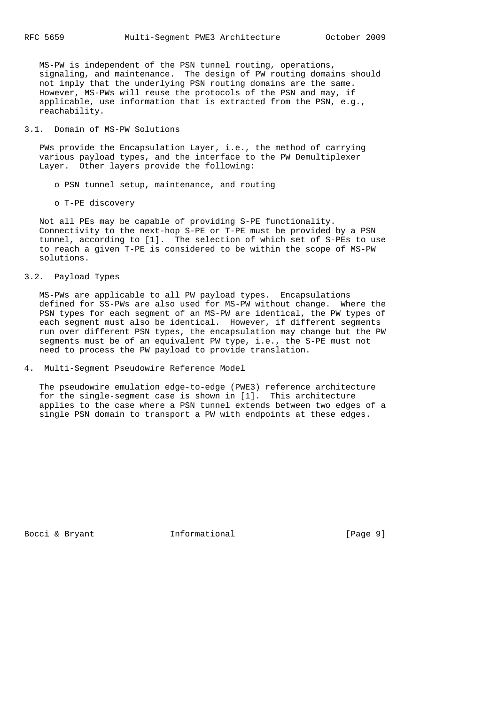MS-PW is independent of the PSN tunnel routing, operations, signaling, and maintenance. The design of PW routing domains should not imply that the underlying PSN routing domains are the same. However, MS-PWs will reuse the protocols of the PSN and may, if applicable, use information that is extracted from the PSN, e.g., reachability.

### 3.1. Domain of MS-PW Solutions

 PWs provide the Encapsulation Layer, i.e., the method of carrying various payload types, and the interface to the PW Demultiplexer Layer. Other layers provide the following:

- o PSN tunnel setup, maintenance, and routing
- o T-PE discovery

 Not all PEs may be capable of providing S-PE functionality. Connectivity to the next-hop S-PE or T-PE must be provided by a PSN tunnel, according to [1]. The selection of which set of S-PEs to use to reach a given T-PE is considered to be within the scope of MS-PW solutions.

3.2. Payload Types

 MS-PWs are applicable to all PW payload types. Encapsulations defined for SS-PWs are also used for MS-PW without change. Where the PSN types for each segment of an MS-PW are identical, the PW types of each segment must also be identical. However, if different segments run over different PSN types, the encapsulation may change but the PW segments must be of an equivalent PW type, i.e., the S-PE must not need to process the PW payload to provide translation.

4. Multi-Segment Pseudowire Reference Model

 The pseudowire emulation edge-to-edge (PWE3) reference architecture for the single-segment case is shown in [1]. This architecture applies to the case where a PSN tunnel extends between two edges of a single PSN domain to transport a PW with endpoints at these edges.

Bocci & Bryant **Informational** [Page 9]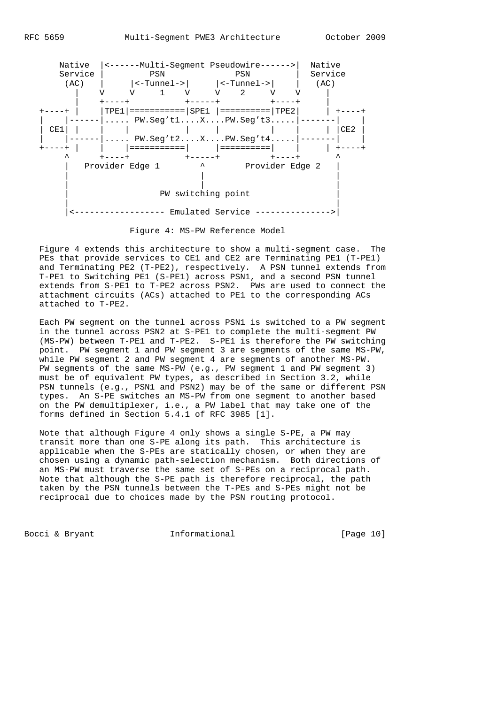

Figure 4: MS-PW Reference Model

 Figure 4 extends this architecture to show a multi-segment case. The PEs that provide services to CE1 and CE2 are Terminating PE1 (T-PE1) and Terminating PE2 (T-PE2), respectively. A PSN tunnel extends from T-PE1 to Switching PE1 (S-PE1) across PSN1, and a second PSN tunnel extends from S-PE1 to T-PE2 across PSN2. PWs are used to connect the attachment circuits (ACs) attached to PE1 to the corresponding ACs attached to T-PE2.

 Each PW segment on the tunnel across PSN1 is switched to a PW segment in the tunnel across PSN2 at S-PE1 to complete the multi-segment PW (MS-PW) between T-PE1 and T-PE2. S-PE1 is therefore the PW switching point. PW segment 1 and PW segment 3 are segments of the same MS-PW, while PW segment 2 and PW segment 4 are segments of another MS-PW. PW segments of the same MS-PW (e.g., PW segment 1 and PW segment 3) must be of equivalent PW types, as described in Section 3.2, while PSN tunnels (e.g., PSN1 and PSN2) may be of the same or different PSN types. An S-PE switches an MS-PW from one segment to another based on the PW demultiplexer, i.e., a PW label that may take one of the forms defined in Section 5.4.1 of RFC 3985 [1].

 Note that although Figure 4 only shows a single S-PE, a PW may transit more than one S-PE along its path. This architecture is applicable when the S-PEs are statically chosen, or when they are chosen using a dynamic path-selection mechanism. Both directions of an MS-PW must traverse the same set of S-PEs on a reciprocal path. Note that although the S-PE path is therefore reciprocal, the path taken by the PSN tunnels between the T-PEs and S-PEs might not be reciprocal due to choices made by the PSN routing protocol.

Bocci & Bryant [Page 10]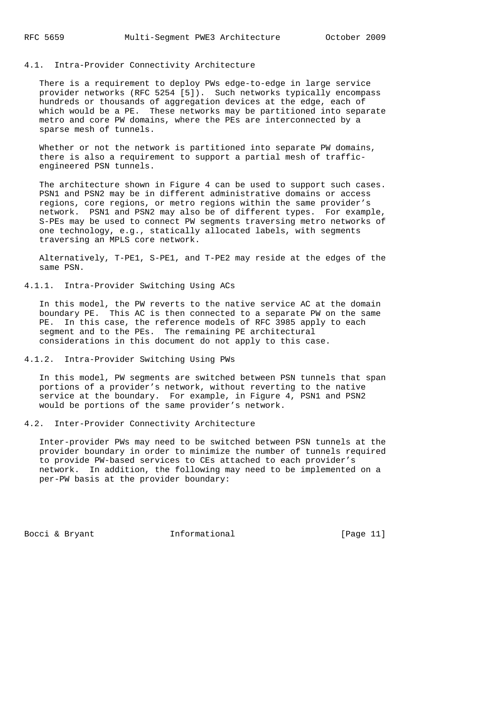## 4.1. Intra-Provider Connectivity Architecture

 There is a requirement to deploy PWs edge-to-edge in large service provider networks (RFC 5254 [5]). Such networks typically encompass hundreds or thousands of aggregation devices at the edge, each of which would be a PE. These networks may be partitioned into separate metro and core PW domains, where the PEs are interconnected by a sparse mesh of tunnels.

Whether or not the network is partitioned into separate PW domains, there is also a requirement to support a partial mesh of traffic engineered PSN tunnels.

 The architecture shown in Figure 4 can be used to support such cases. PSN1 and PSN2 may be in different administrative domains or access regions, core regions, or metro regions within the same provider's network. PSN1 and PSN2 may also be of different types. For example, S-PEs may be used to connect PW segments traversing metro networks of one technology, e.g., statically allocated labels, with segments traversing an MPLS core network.

 Alternatively, T-PE1, S-PE1, and T-PE2 may reside at the edges of the same PSN.

## 4.1.1. Intra-Provider Switching Using ACs

 In this model, the PW reverts to the native service AC at the domain boundary PE. This AC is then connected to a separate PW on the same PE. In this case, the reference models of RFC 3985 apply to each segment and to the PEs. The remaining PE architectural considerations in this document do not apply to this case.

#### 4.1.2. Intra-Provider Switching Using PWs

 In this model, PW segments are switched between PSN tunnels that span portions of a provider's network, without reverting to the native service at the boundary. For example, in Figure 4, PSN1 and PSN2 would be portions of the same provider's network.

#### 4.2. Inter-Provider Connectivity Architecture

 Inter-provider PWs may need to be switched between PSN tunnels at the provider boundary in order to minimize the number of tunnels required to provide PW-based services to CEs attached to each provider's network. In addition, the following may need to be implemented on a per-PW basis at the provider boundary:

Bocci & Bryant [Page 11]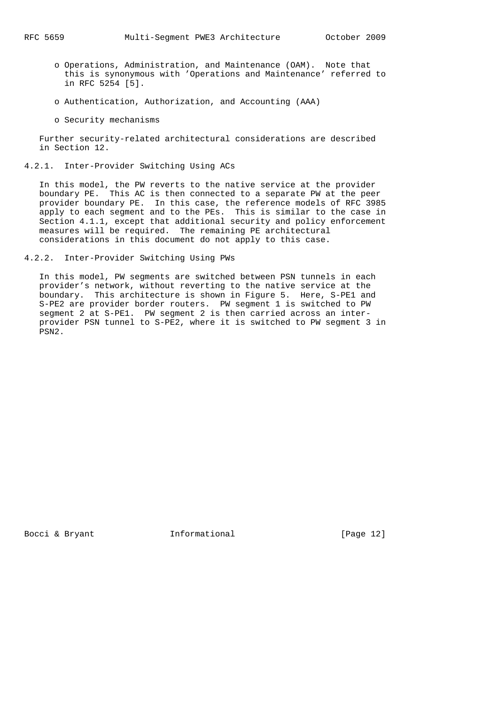- o Operations, Administration, and Maintenance (OAM). Note that this is synonymous with 'Operations and Maintenance' referred to in RFC 5254 [5].
- o Authentication, Authorization, and Accounting (AAA)
- o Security mechanisms

 Further security-related architectural considerations are described in Section 12.

4.2.1. Inter-Provider Switching Using ACs

 In this model, the PW reverts to the native service at the provider boundary PE. This AC is then connected to a separate PW at the peer provider boundary PE. In this case, the reference models of RFC 3985 apply to each segment and to the PEs. This is similar to the case in Section 4.1.1, except that additional security and policy enforcement measures will be required. The remaining PE architectural considerations in this document do not apply to this case.

4.2.2. Inter-Provider Switching Using PWs

 In this model, PW segments are switched between PSN tunnels in each provider's network, without reverting to the native service at the boundary. This architecture is shown in Figure 5. Here, S-PE1 and S-PE2 are provider border routers. PW segment 1 is switched to PW segment 2 at S-PE1. PW segment 2 is then carried across an inter provider PSN tunnel to S-PE2, where it is switched to PW segment 3 in PSN2.

Bocci & Bryant 1nformational [Page 12]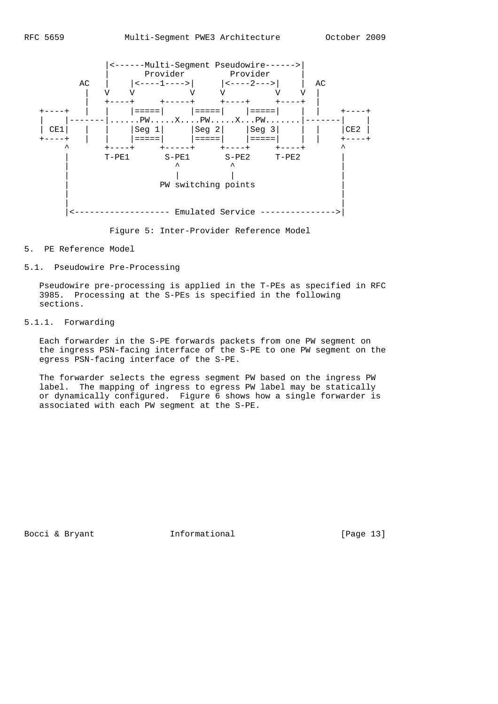

Figure 5: Inter-Provider Reference Model

### 5. PE Reference Model

## 5.1. Pseudowire Pre-Processing

 Pseudowire pre-processing is applied in the T-PEs as specified in RFC 3985. Processing at the S-PEs is specified in the following sections.

## 5.1.1. Forwarding

 Each forwarder in the S-PE forwards packets from one PW segment on the ingress PSN-facing interface of the S-PE to one PW segment on the egress PSN-facing interface of the S-PE.

 The forwarder selects the egress segment PW based on the ingress PW label. The mapping of ingress to egress PW label may be statically or dynamically configured. Figure 6 shows how a single forwarder is associated with each PW segment at the S-PE.

Bocci & Bryant 1nformational [Page 13]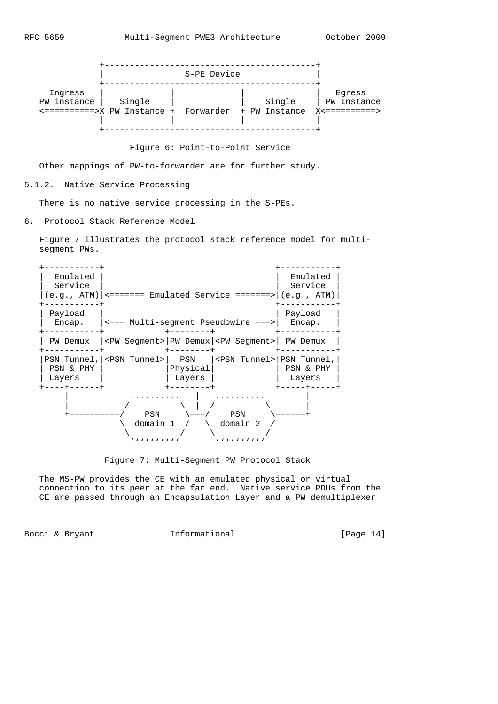

Figure 6: Point-to-Point Service

Other mappings of PW-to-forwarder are for further study.

5.1.2. Native Service Processing

There is no native service processing in the S-PEs.

6. Protocol Stack Reference Model

 Figure 7 illustrates the protocol stack reference model for multi segment PWs.



Figure 7: Multi-Segment PW Protocol Stack

 The MS-PW provides the CE with an emulated physical or virtual connection to its peer at the far end. Native service PDUs from the CE are passed through an Encapsulation Layer and a PW demultiplexer

Bocci & Bryant 1nformational [Page 14]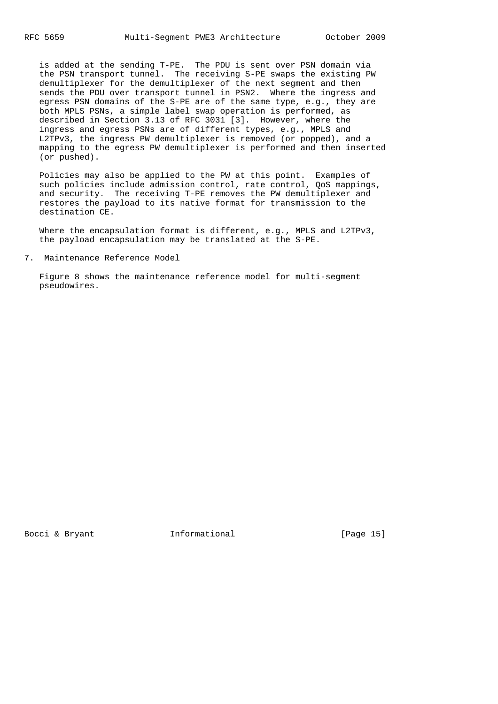is added at the sending T-PE. The PDU is sent over PSN domain via the PSN transport tunnel. The receiving S-PE swaps the existing PW demultiplexer for the demultiplexer of the next segment and then sends the PDU over transport tunnel in PSN2. Where the ingress and egress PSN domains of the S-PE are of the same type, e.g., they are both MPLS PSNs, a simple label swap operation is performed, as described in Section 3.13 of RFC 3031 [3]. However, where the ingress and egress PSNs are of different types, e.g., MPLS and L2TPv3, the ingress PW demultiplexer is removed (or popped), and a mapping to the egress PW demultiplexer is performed and then inserted (or pushed).

 Policies may also be applied to the PW at this point. Examples of such policies include admission control, rate control, QoS mappings, and security. The receiving T-PE removes the PW demultiplexer and restores the payload to its native format for transmission to the destination CE.

 Where the encapsulation format is different, e.g., MPLS and L2TPv3, the payload encapsulation may be translated at the S-PE.

7. Maintenance Reference Model

 Figure 8 shows the maintenance reference model for multi-segment pseudowires.

Bocci & Bryant **Informational** [Page 15]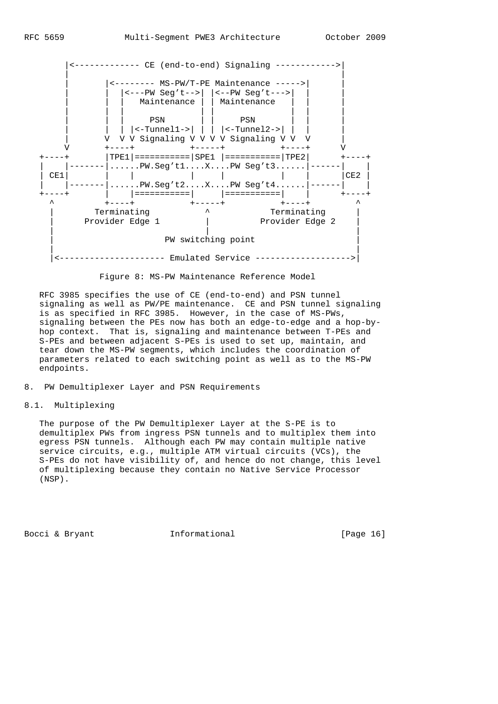

Figure 8: MS-PW Maintenance Reference Model

 RFC 3985 specifies the use of CE (end-to-end) and PSN tunnel signaling as well as PW/PE maintenance. CE and PSN tunnel signaling is as specified in RFC 3985. However, in the case of MS-PWs, signaling between the PEs now has both an edge-to-edge and a hop-by hop context. That is, signaling and maintenance between T-PEs and S-PEs and between adjacent S-PEs is used to set up, maintain, and tear down the MS-PW segments, which includes the coordination of parameters related to each switching point as well as to the MS-PW endpoints.

8. PW Demultiplexer Layer and PSN Requirements

## 8.1. Multiplexing

 The purpose of the PW Demultiplexer Layer at the S-PE is to demultiplex PWs from ingress PSN tunnels and to multiplex them into egress PSN tunnels. Although each PW may contain multiple native service circuits, e.g., multiple ATM virtual circuits (VCs), the S-PEs do not have visibility of, and hence do not change, this level of multiplexing because they contain no Native Service Processor (NSP).

Bocci & Bryant 1nformational [Page 16]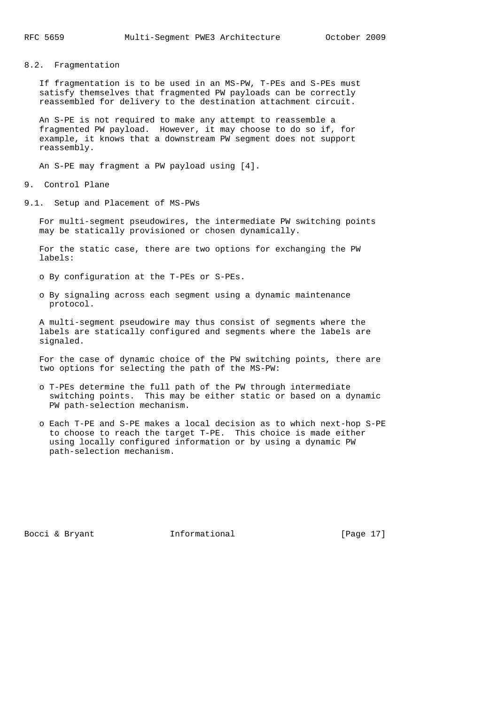8.2. Fragmentation

 If fragmentation is to be used in an MS-PW, T-PEs and S-PEs must satisfy themselves that fragmented PW payloads can be correctly reassembled for delivery to the destination attachment circuit.

 An S-PE is not required to make any attempt to reassemble a fragmented PW payload. However, it may choose to do so if, for example, it knows that a downstream PW segment does not support reassembly.

An S-PE may fragment a PW payload using [4].

9. Control Plane

9.1. Setup and Placement of MS-PWs

 For multi-segment pseudowires, the intermediate PW switching points may be statically provisioned or chosen dynamically.

 For the static case, there are two options for exchanging the PW labels:

o By configuration at the T-PEs or S-PEs.

 o By signaling across each segment using a dynamic maintenance protocol.

 A multi-segment pseudowire may thus consist of segments where the labels are statically configured and segments where the labels are signaled.

 For the case of dynamic choice of the PW switching points, there are two options for selecting the path of the MS-PW:

- o T-PEs determine the full path of the PW through intermediate switching points. This may be either static or based on a dynamic PW path-selection mechanism.
- o Each T-PE and S-PE makes a local decision as to which next-hop S-PE to choose to reach the target T-PE. This choice is made either using locally configured information or by using a dynamic PW path-selection mechanism.

Bocci & Bryant [Page 17]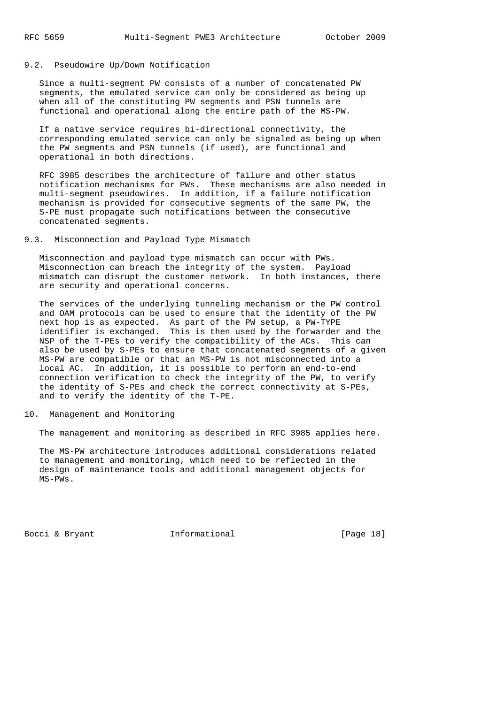#### 9.2. Pseudowire Up/Down Notification

 Since a multi-segment PW consists of a number of concatenated PW segments, the emulated service can only be considered as being up when all of the constituting PW segments and PSN tunnels are functional and operational along the entire path of the MS-PW.

 If a native service requires bi-directional connectivity, the corresponding emulated service can only be signaled as being up when the PW segments and PSN tunnels (if used), are functional and operational in both directions.

 RFC 3985 describes the architecture of failure and other status notification mechanisms for PWs. These mechanisms are also needed in multi-segment pseudowires. In addition, if a failure notification mechanism is provided for consecutive segments of the same PW, the S-PE must propagate such notifications between the consecutive concatenated segments.

### 9.3. Misconnection and Payload Type Mismatch

 Misconnection and payload type mismatch can occur with PWs. Misconnection can breach the integrity of the system. Payload mismatch can disrupt the customer network. In both instances, there are security and operational concerns.

 The services of the underlying tunneling mechanism or the PW control and OAM protocols can be used to ensure that the identity of the PW next hop is as expected. As part of the PW setup, a PW-TYPE identifier is exchanged. This is then used by the forwarder and the NSP of the T-PEs to verify the compatibility of the ACs. This can also be used by S-PEs to ensure that concatenated segments of a given MS-PW are compatible or that an MS-PW is not misconnected into a local AC. In addition, it is possible to perform an end-to-end connection verification to check the integrity of the PW, to verify the identity of S-PEs and check the correct connectivity at S-PEs, and to verify the identity of the T-PE.

### 10. Management and Monitoring

The management and monitoring as described in RFC 3985 applies here.

 The MS-PW architecture introduces additional considerations related to management and monitoring, which need to be reflected in the design of maintenance tools and additional management objects for MS-PWs.

Bocci & Bryant 1nformational [Page 18]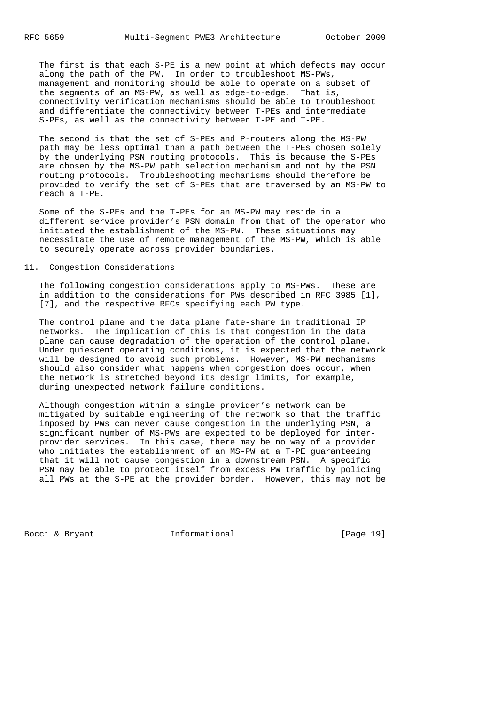The first is that each S-PE is a new point at which defects may occur along the path of the PW. In order to troubleshoot MS-PWs, management and monitoring should be able to operate on a subset of the segments of an MS-PW, as well as edge-to-edge. That is, connectivity verification mechanisms should be able to troubleshoot and differentiate the connectivity between T-PEs and intermediate S-PEs, as well as the connectivity between T-PE and T-PE.

 The second is that the set of S-PEs and P-routers along the MS-PW path may be less optimal than a path between the T-PEs chosen solely by the underlying PSN routing protocols. This is because the S-PEs are chosen by the MS-PW path selection mechanism and not by the PSN routing protocols. Troubleshooting mechanisms should therefore be provided to verify the set of S-PEs that are traversed by an MS-PW to reach a T-PE.

 Some of the S-PEs and the T-PEs for an MS-PW may reside in a different service provider's PSN domain from that of the operator who initiated the establishment of the MS-PW. These situations may necessitate the use of remote management of the MS-PW, which is able to securely operate across provider boundaries.

## 11. Congestion Considerations

 The following congestion considerations apply to MS-PWs. These are in addition to the considerations for PWs described in RFC 3985 [1], [7], and the respective RFCs specifying each PW type.

 The control plane and the data plane fate-share in traditional IP networks. The implication of this is that congestion in the data plane can cause degradation of the operation of the control plane. Under quiescent operating conditions, it is expected that the network will be designed to avoid such problems. However, MS-PW mechanisms should also consider what happens when congestion does occur, when the network is stretched beyond its design limits, for example, during unexpected network failure conditions.

 Although congestion within a single provider's network can be mitigated by suitable engineering of the network so that the traffic imposed by PWs can never cause congestion in the underlying PSN, a significant number of MS-PWs are expected to be deployed for inter provider services. In this case, there may be no way of a provider who initiates the establishment of an MS-PW at a T-PE guaranteeing that it will not cause congestion in a downstream PSN. A specific PSN may be able to protect itself from excess PW traffic by policing all PWs at the S-PE at the provider border. However, this may not be

Bocci & Bryant **Informational** [Page 19]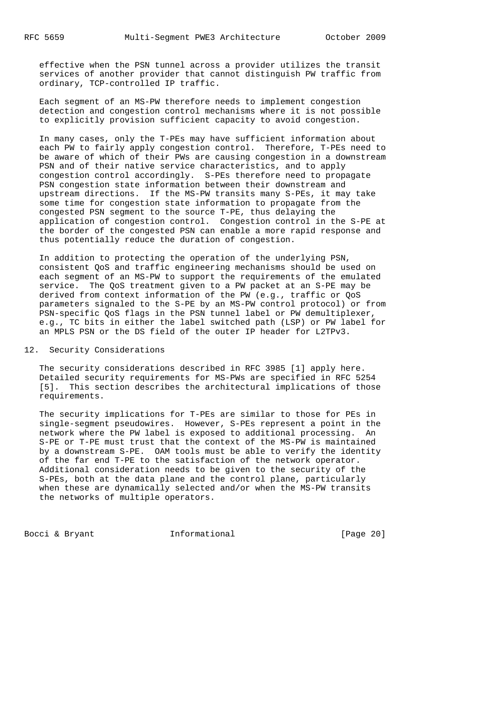effective when the PSN tunnel across a provider utilizes the transit services of another provider that cannot distinguish PW traffic from ordinary, TCP-controlled IP traffic.

 Each segment of an MS-PW therefore needs to implement congestion detection and congestion control mechanisms where it is not possible to explicitly provision sufficient capacity to avoid congestion.

 In many cases, only the T-PEs may have sufficient information about each PW to fairly apply congestion control. Therefore, T-PEs need to be aware of which of their PWs are causing congestion in a downstream PSN and of their native service characteristics, and to apply congestion control accordingly. S-PEs therefore need to propagate PSN congestion state information between their downstream and upstream directions. If the MS-PW transits many S-PEs, it may take some time for congestion state information to propagate from the congested PSN segment to the source T-PE, thus delaying the application of congestion control. Congestion control in the S-PE at the border of the congested PSN can enable a more rapid response and thus potentially reduce the duration of congestion.

 In addition to protecting the operation of the underlying PSN, consistent QoS and traffic engineering mechanisms should be used on each segment of an MS-PW to support the requirements of the emulated service. The QoS treatment given to a PW packet at an S-PE may be derived from context information of the PW (e.g., traffic or QoS parameters signaled to the S-PE by an MS-PW control protocol) or from PSN-specific QoS flags in the PSN tunnel label or PW demultiplexer, e.g., TC bits in either the label switched path (LSP) or PW label for an MPLS PSN or the DS field of the outer IP header for L2TPv3.

## 12. Security Considerations

 The security considerations described in RFC 3985 [1] apply here. Detailed security requirements for MS-PWs are specified in RFC 5254 [5]. This section describes the architectural implications of those requirements.

 The security implications for T-PEs are similar to those for PEs in single-segment pseudowires. However, S-PEs represent a point in the network where the PW label is exposed to additional processing. An S-PE or T-PE must trust that the context of the MS-PW is maintained by a downstream S-PE. OAM tools must be able to verify the identity of the far end T-PE to the satisfaction of the network operator. Additional consideration needs to be given to the security of the S-PEs, both at the data plane and the control plane, particularly when these are dynamically selected and/or when the MS-PW transits the networks of multiple operators.

Bocci & Bryant 1nformational [Page 20]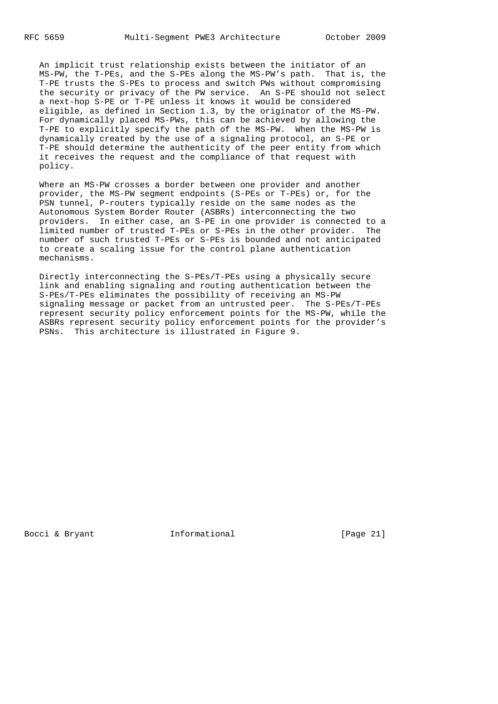An implicit trust relationship exists between the initiator of an MS-PW, the T-PEs, and the S-PEs along the MS-PW's path. That is, the T-PE trusts the S-PEs to process and switch PWs without compromising the security or privacy of the PW service. An S-PE should not select a next-hop S-PE or T-PE unless it knows it would be considered eligible, as defined in Section 1.3, by the originator of the MS-PW. For dynamically placed MS-PWs, this can be achieved by allowing the T-PE to explicitly specify the path of the MS-PW. When the MS-PW is dynamically created by the use of a signaling protocol, an S-PE or T-PE should determine the authenticity of the peer entity from which it receives the request and the compliance of that request with policy.

 Where an MS-PW crosses a border between one provider and another provider, the MS-PW segment endpoints (S-PEs or T-PEs) or, for the PSN tunnel, P-routers typically reside on the same nodes as the Autonomous System Border Router (ASBRs) interconnecting the two providers. In either case, an S-PE in one provider is connected to a limited number of trusted T-PEs or S-PEs in the other provider. The number of such trusted T-PEs or S-PEs is bounded and not anticipated to create a scaling issue for the control plane authentication mechanisms.

 Directly interconnecting the S-PEs/T-PEs using a physically secure link and enabling signaling and routing authentication between the S-PEs/T-PEs eliminates the possibility of receiving an MS-PW signaling message or packet from an untrusted peer. The S-PEs/T-PEs represent security policy enforcement points for the MS-PW, while the ASBRs represent security policy enforcement points for the provider's PSNs. This architecture is illustrated in Figure 9.

Bocci & Bryant 1nformational [Page 21]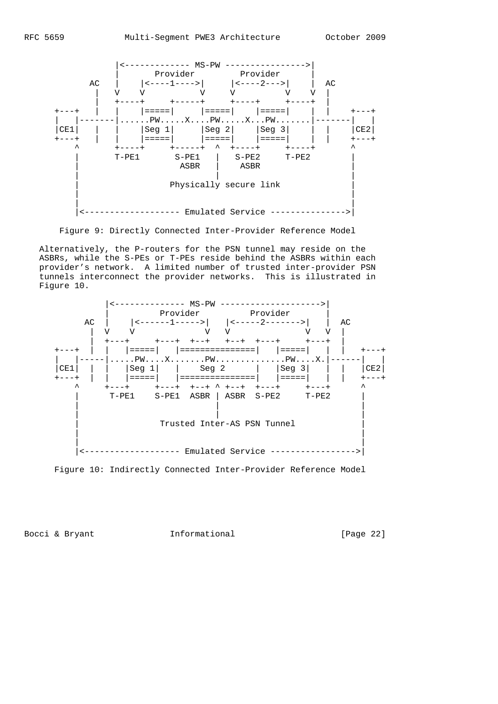

Figure 9: Directly Connected Inter-Provider Reference Model

 Alternatively, the P-routers for the PSN tunnel may reside on the ASBRs, while the S-PEs or T-PEs reside behind the ASBRs within each provider's network. A limited number of trusted inter-provider PSN tunnels interconnect the provider networks. This is illustrated in Figure 10.



Figure 10: Indirectly Connected Inter-Provider Reference Model

Bocci & Bryant 1nformational [Page 22]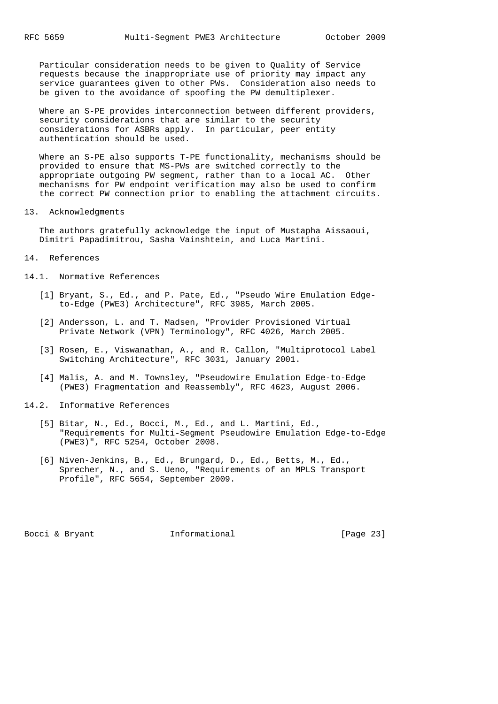Particular consideration needs to be given to Quality of Service requests because the inappropriate use of priority may impact any service guarantees given to other PWs. Consideration also needs to be given to the avoidance of spoofing the PW demultiplexer.

 Where an S-PE provides interconnection between different providers, security considerations that are similar to the security considerations for ASBRs apply. In particular, peer entity authentication should be used.

 Where an S-PE also supports T-PE functionality, mechanisms should be provided to ensure that MS-PWs are switched correctly to the appropriate outgoing PW segment, rather than to a local AC. Other mechanisms for PW endpoint verification may also be used to confirm the correct PW connection prior to enabling the attachment circuits.

13. Acknowledgments

 The authors gratefully acknowledge the input of Mustapha Aissaoui, Dimitri Papadimitrou, Sasha Vainshtein, and Luca Martini.

- 14. References
- 14.1. Normative References
- [1] Bryant, S., Ed., and P. Pate, Ed., "Pseudo Wire Emulation Edge to-Edge (PWE3) Architecture", RFC 3985, March 2005.
	- [2] Andersson, L. and T. Madsen, "Provider Provisioned Virtual Private Network (VPN) Terminology", RFC 4026, March 2005.
	- [3] Rosen, E., Viswanathan, A., and R. Callon, "Multiprotocol Label Switching Architecture", RFC 3031, January 2001.
	- [4] Malis, A. and M. Townsley, "Pseudowire Emulation Edge-to-Edge (PWE3) Fragmentation and Reassembly", RFC 4623, August 2006.
- 14.2. Informative References
	- [5] Bitar, N., Ed., Bocci, M., Ed., and L. Martini, Ed., "Requirements for Multi-Segment Pseudowire Emulation Edge-to-Edge (PWE3)", RFC 5254, October 2008.
	- [6] Niven-Jenkins, B., Ed., Brungard, D., Ed., Betts, M., Ed., Sprecher, N., and S. Ueno, "Requirements of an MPLS Transport Profile", RFC 5654, September 2009.

Bocci & Bryant **Informational** [Page 23]